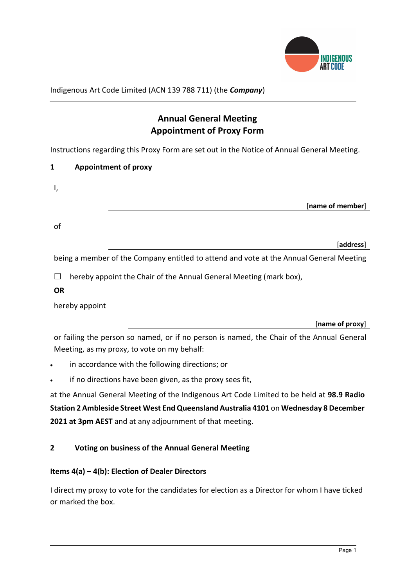

Indigenous Art Code Limited (ACN 139 788 711) (the Company)

# Annual General Meeting Appointment of Proxy Form

Instructions regarding this Proxy Form are set out in the Notice of Annual General Meeting.

| <b>Appointment of proxy</b> |
|-----------------------------|
|                             |

| ., |                  |
|----|------------------|
|    | [name of member] |
| of |                  |
|    | [address]        |

being a member of the Company entitled to attend and vote at the Annual General Meeting

 $\Box$  hereby appoint the Chair of the Annual General Meeting (mark box),

**OR** 

hereby appoint

[name of proxy]

or failing the person so named, or if no person is named, the Chair of the Annual General Meeting, as my proxy, to vote on my behalf:

- in accordance with the following directions; or
- if no directions have been given, as the proxy sees fit,

at the Annual General Meeting of the Indigenous Art Code Limited to be held at 98.9 Radio Station 2 Ambleside Street West End Queensland Australia 4101 on Wednesday 8 December 2021 at 3pm AEST and at any adjournment of that meeting.

# 2 Voting on business of the Annual General Meeting

# Items 4(a) – 4(b): Election of Dealer Directors

I direct my proxy to vote for the candidates for election as a Director for whom I have ticked or marked the box.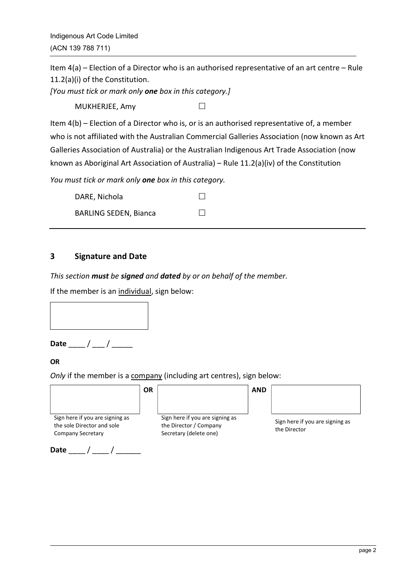Indigenous Art Code Limited (ACN 139 788 711)

Item 4(a) – Election of a Director who is an authorised representative of an art centre – Rule 11.2(a)(i) of the Constitution.

[You must tick or mark only one box in this category.]

MUKHERJEE, Amy

Item 4(b) – Election of a Director who is, or is an authorised representative of, a member who is not affiliated with the Australian Commercial Galleries Association (now known as Art Galleries Association of Australia) or the Australian Indigenous Art Trade Association (now known as Aboriginal Art Association of Australia) – Rule 11.2(a)(iv) of the Constitution

You must tick or mark only one box in this category.

| DARE, Nichola                | $\Box$ |  |
|------------------------------|--------|--|
| <b>BARLING SEDEN, Bianca</b> | $\Box$ |  |

# 3 Signature and Date

This section must be signed and dated by or on behalf of the member.

If the member is an individual, sign below:



Date  $\frac{1}{\sqrt{2\pi}}$ 

### **OR**

Only if the member is a company (including art centres), sign below:

|                                                                                           | ΟR |                                                                                     | <b>AND</b> |                                                 |
|-------------------------------------------------------------------------------------------|----|-------------------------------------------------------------------------------------|------------|-------------------------------------------------|
| Sign here if you are signing as<br>the sole Director and sole<br><b>Company Secretary</b> |    | Sign here if you are signing as<br>the Director / Company<br>Secretary (delete one) |            | Sign here if you are signing as<br>the Director |
| Date                                                                                      |    |                                                                                     |            |                                                 |